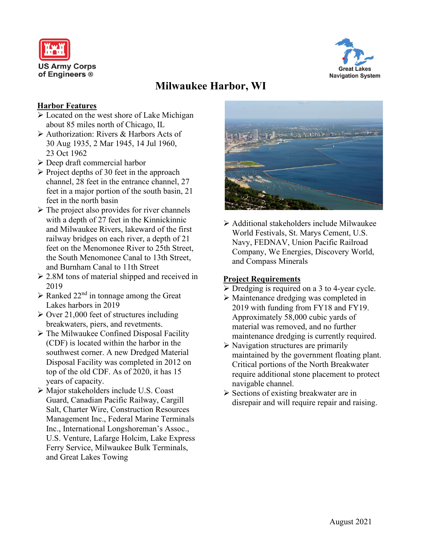



# **Milwaukee Harbor, WI**

#### **Harbor Features**

- Located on the west shore of Lake Michigan about 85 miles north of Chicago, IL
- Authorization: Rivers & Harbors Acts of 30 Aug 1935, 2 Mar 1945, 14 Jul 1960, 23 Oct 1962
- Deep draft commercial harbor
- $\triangleright$  Project depths of 30 feet in the approach channel, 28 feet in the entrance channel, 27 feet in a major portion of the south basin, 21 feet in the north basin
- $\triangleright$  The project also provides for river channels with a depth of 27 feet in the Kinnickinnic and Milwaukee Rivers, lakeward of the first railway bridges on each river, a depth of 21 feet on the Menomonee River to 25th Street, the South Menomonee Canal to 13th Street, and Burnham Canal to 11th Street
- 2.8M tons of material shipped and received in 2019
- $\triangleright$  Ranked 22<sup>nd</sup> in tonnage among the Great Lakes harbors in 2019
- $\geq$  Over 21,000 feet of structures including breakwaters, piers, and revetments.
- $\triangleright$  The Milwaukee Confined Disposal Facility (CDF) is located within the harbor in the southwest corner. A new Dredged Material Disposal Facility was completed in 2012 on top of the old CDF. As of 2020, it has 15 years of capacity.
- Major stakeholders include U.S. Coast Guard, Canadian Pacific Railway, Cargill Salt, Charter Wire, Construction Resources Management Inc., Federal Marine Terminals Inc., International Longshoreman's Assoc., U.S. Venture, Lafarge Holcim, Lake Express Ferry Service, Milwaukee Bulk Terminals, and Great Lakes Towing



 $\triangleright$  Additional stakeholders include Milwaukee World Festivals, St. Marys Cement, U.S. Navy, FEDNAV, Union Pacific Railroad Company, We Energies, Discovery World, and Compass Minerals

## **Project Requirements**

- $\triangleright$  Dredging is required on a 3 to 4-year cycle.
- Maintenance dredging was completed in 2019 with funding from FY18 and FY19. Approximately 58,000 cubic yards of material was removed, and no further maintenance dredging is currently required.
- $\triangleright$  Navigation structures are primarily maintained by the government floating plant. Critical portions of the North Breakwater require additional stone placement to protect navigable channel.
- $\triangleright$  Sections of existing breakwater are in disrepair and will require repair and raising.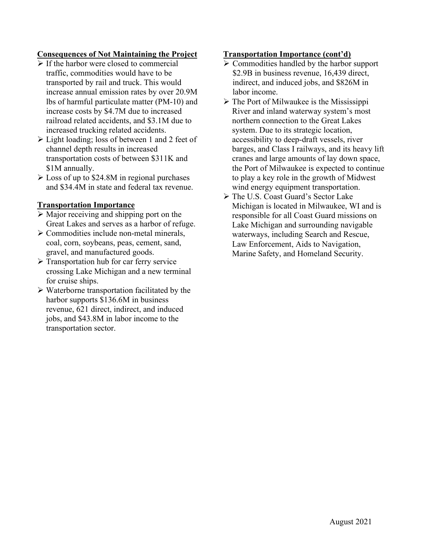# **Consequences of Not Maintaining the Project**

- $\triangleright$  If the harbor were closed to commercial traffic, commodities would have to be transported by rail and truck. This would increase annual emission rates by over 20.9M lbs of harmful particulate matter (PM-10) and increase costs by \$4.7M due to increased railroad related accidents, and \$3.1M due to increased trucking related accidents.
- $\triangleright$  Light loading; loss of between 1 and 2 feet of channel depth results in increased transportation costs of between \$311K and \$1M annually.
- Loss of up to \$24.8M in regional purchases and \$34.4M in state and federal tax revenue.

## **Transportation Importance**

- $\triangleright$  Major receiving and shipping port on the Great Lakes and serves as a harbor of refuge.
- Commodities include non-metal minerals, coal, corn, soybeans, peas, cement, sand, gravel, and manufactured goods.
- $\triangleright$  Transportation hub for car ferry service crossing Lake Michigan and a new terminal for cruise ships.
- $\triangleright$  Waterborne transportation facilitated by the harbor supports \$136.6M in business revenue, 621 direct, indirect, and induced jobs, and \$43.8M in labor income to the transportation sector.

#### **Transportation Importance (cont'd)**

- $\triangleright$  Commodities handled by the harbor support \$2.9B in business revenue, 16,439 direct, indirect, and induced jobs, and \$826M in labor income.
- $\triangleright$  The Port of Milwaukee is the Mississippi River and inland waterway system's most northern connection to the Great Lakes system. Due to its strategic location, accessibility to deep-draft vessels, river barges, and Class I railways, and its heavy lift cranes and large amounts of lay down space, the Port of Milwaukee is expected to continue to play a key role in the growth of Midwest wind energy equipment transportation.
- The U.S. Coast Guard's Sector Lake Michigan is located in Milwaukee, WI and is responsible for all Coast Guard missions on Lake Michigan and surrounding navigable waterways, including Search and Rescue, Law Enforcement, Aids to Navigation, Marine Safety, and Homeland Security.